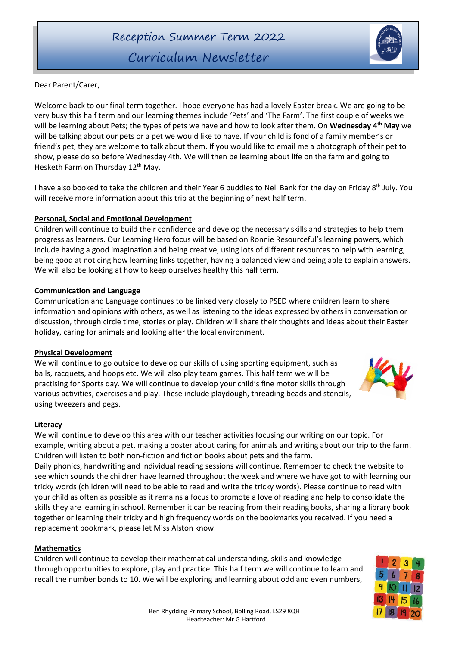# Curriculum Newsletter

Dear Parent/Carer,

Welcome back to our final term together. I hope everyone has had a lovely Easter break. We are going to be very busy this half term and our learning themes include 'Pets' and 'The Farm'. The first couple of weeks we will be learning about Pets; the types of pets we have and how to look after them. On **Wednesday 4 th May** we will be talking about our pets or a pet we would like to have. If your child is fond of a family member's or friend's pet, they are welcome to talk about them. If you would like to email me a photograph of their pet to show, please do so before Wednesday 4th. We will then be learning about life on the farm and going to Hesketh Farm on Thursday 12<sup>th</sup> May.

I have also booked to take the children and their Year 6 buddies to Nell Bank for the day on Friday 8<sup>th</sup> July. You will receive more information about this trip at the beginning of next half term.

## **Personal, Social and Emotional Development**

Children will continue to build their confidence and develop the necessary skills and strategies to help them progress as learners. Our Learning Hero focus will be based on Ronnie Resourceful's learning powers, which include having a good imagination and being creative, using lots of different resources to help with learning, being good at noticing how learning links together, having a balanced view and being able to explain answers. We will also be looking at how to keep ourselves healthy this half term.

## **Communication and Language**

Communication and Language continues to be linked very closely to PSED where children learn to share information and opinions with others, as well as listening to the ideas expressed by others in conversation or discussion, through circle time, stories or play. Children will share their thoughts and ideas about their Easter holiday, caring for animals and looking after the local environment.

## **Physical Development**

We will continue to go outside to develop our skills of using sporting equipment, such as balls, racquets, and hoops etc. We will also play team games. This half term we will be practising for Sports day. We will continue to develop your child's fine motor skills through various activities, exercises and play. These include playdough, threading beads and stencils, using tweezers and pegs.

### **Literacy**

We will continue to develop this area with our teacher activities focusing our writing on our topic. For example, writing about a pet, making a poster about caring for animals and writing about our trip to the farm. Children will listen to both non-fiction and fiction books about pets and the farm. Daily phonics, handwriting and individual reading sessions will continue. Remember to check the website to

see which sounds the children have learned throughout the week and where we have got to with learning our tricky words (children will need to be able to read and write the tricky words). Please continue to read with your child as often as possible as it remains a focus to promote a love of reading and help to consolidate the skills they are learning in school. Remember it can be reading from their reading books, sharing a library book together or learning their tricky and high frequency words on the bookmarks you received. If you need a replacement bookmark, please let Miss Alston know.

### **Mathematics**

 Children will continue to develop their mathematical understanding, skills and knowledge through opportunities to explore, play and practice. This half term we will continue to learn and recall the number bonds to 10. We will be exploring and learning about odd and even numbers,